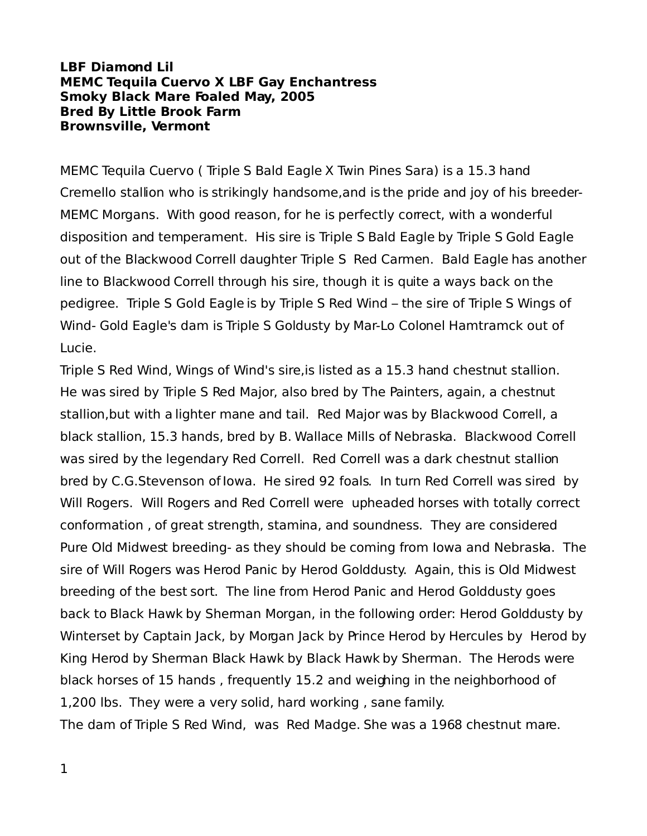## **LBF Diamond Lil MEMC Tequila Cuervo X LBF Gay Enchantress Smoky Black Mare Foaled May, 2005 Bred By Little Brook Farm Brownsville, Vermont**

MEMC Tequila Cuervo ( Triple S Bald Eagle X Twin Pines Sara) is a 15.3 hand Cremello stallion who is strikingly handsome,and is the pride and joy of his breeder-MEMC Morgans. With good reason, for he is perfectly correct, with a wonderful disposition and temperament. His sire is Triple S Bald Eagle by Triple S Gold Eagle out of the Blackwood Correll daughter Triple S Red Carmen. Bald Eagle has another line to Blackwood Correll through his sire, though it is quite a ways back on the pedigree. Triple S Gold Eagle is by Triple S Red Wind – the sire of Triple S Wings of Wind- Gold Eagle's dam is Triple S Goldusty by Mar-Lo Colonel Hamtramck out of Lucie.

Triple S Red Wind, Wings of Wind's sire,is listed as a 15.3 hand chestnut stallion. He was sired by Triple S Red Major, also bred by The Painters, again, a chestnut stallion,but with a lighter mane and tail. Red Major was by Blackwood Correll, a black stallion, 15.3 hands, bred by B. Wallace Mills of Nebraska. Blackwood Correll was sired by the legendary Red Correll. Red Correll was a dark chestnut stallion bred by C.G.Stevenson of Iowa. He sired 92 foals. In turn Red Correll was sired by Will Rogers. Will Rogers and Red Correll were upheaded horses with totally correct conformation , of great strength, stamina, and soundness. They are considered Pure Old Midwest breeding- as they should be coming from Iowa and Nebraska. The sire of Will Rogers was Herod Panic by Herod Golddusty. Again, this is Old Midwest breeding of the best sort. The line from Herod Panic and Herod Golddusty goes back to Black Hawk by Sherman Morgan, in the following order: Herod Golddusty by Winterset by Captain Jack, by Morgan Jack by Prince Herod by Hercules by Herod by King Herod by Sherman Black Hawk by Black Hawk by Sherman. The Herods were black horses of 15 hands , frequently 15.2 and weighing in the neighborhood of 1,200 lbs. They were a very solid, hard working , sane family. The dam of Triple S Red Wind, was Red Madge. She was a 1968 chestnut mare.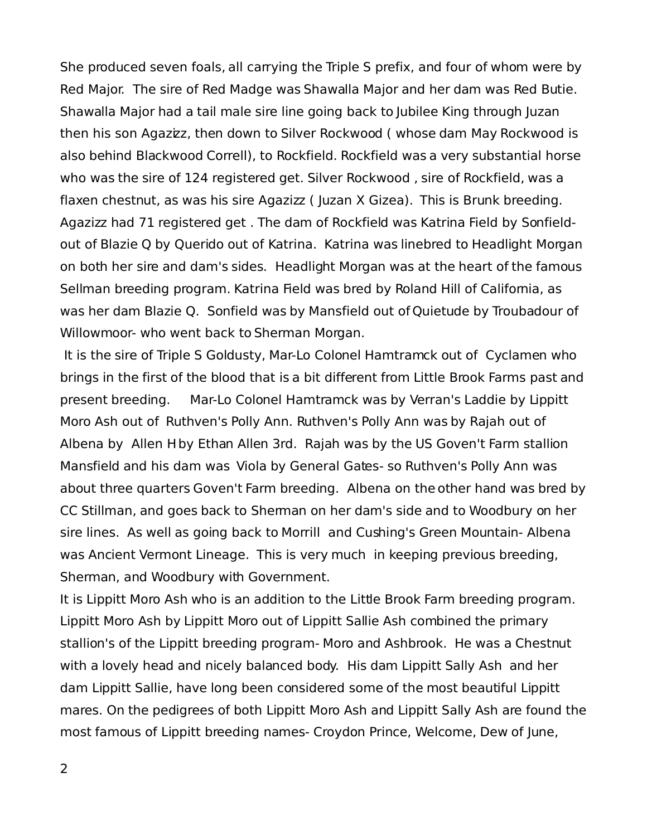She produced seven foals, all carrying the Triple S prefix, and four of whom were by Red Major. The sire of Red Madge was Shawalla Major and her dam was Red Butie. Shawalla Major had a tail male sire line going back to Jubilee King through Juzan then his son Agazizz, then down to Silver Rockwood (whose dam May Rockwood is also behind Blackwood Correll), to Rockfield. Rockfield was a very substantial horse who was the sire of 124 registered get. Silver Rockwood , sire of Rockfield, was a flaxen chestnut, as was his sire Agazizz ( Juzan X Gizea). This is Brunk breeding. Agazizz had 71 registered get . The dam of Rockfield was Katrina Field by Sonfieldout of Blazie Q by Querido out of Katrina. Katrina was linebred to Headlight Morgan on both her sire and dam's sides. Headlight Morgan was at the heart of the famous Sellman breeding program. Katrina Field was bred by Roland Hill of California, as was her dam Blazie Q. Sonfield was by Mansfield out of Quietude by Troubadour of Willowmoor- who went back to Sherman Morgan.

It is the sire of Triple S Goldusty, Mar-Lo Colonel Hamtramck out of Cyclamen who brings in the first of the blood that is a bit different from Little Brook Farms past and present breeding. Mar-Lo Colonel Hamtramck was by Verran's Laddie by Lippitt Moro Ash out of Ruthven's Polly Ann. Ruthven's Polly Ann was by Rajah out of Albena by Allen H by Ethan Allen 3rd. Rajah was by the US Goven't Farm stallion Mansfield and his dam was Viola by General Gates- so Ruthven's Polly Ann was about three quarters Goven't Farm breeding. Albena on the other hand was bred by CC Stillman, and goes back to Sherman on her dam's side and to Woodbury on her sire lines. As well as going back to Morrill and Cushing's Green Mountain- Albena was Ancient Vermont Lineage. This is very much in keeping previous breeding, Sherman, and Woodbury with Government.

It is Lippitt Moro Ash who is an addition to the Little Brook Farm breeding program. Lippitt Moro Ash by Lippitt Moro out of Lippitt Sallie Ash combined the primary stallion's of the Lippitt breeding program- Moro and Ashbrook. He was a Chestnut with a lovely head and nicely balanced body. His dam Lippitt Sally Ash and her dam Lippitt Sallie, have long been considered some of the most beautiful Lippitt mares. On the pedigrees of both Lippitt Moro Ash and Lippitt Sally Ash are found the most famous of Lippitt breeding names- Croydon Prince, Welcome, Dew of June,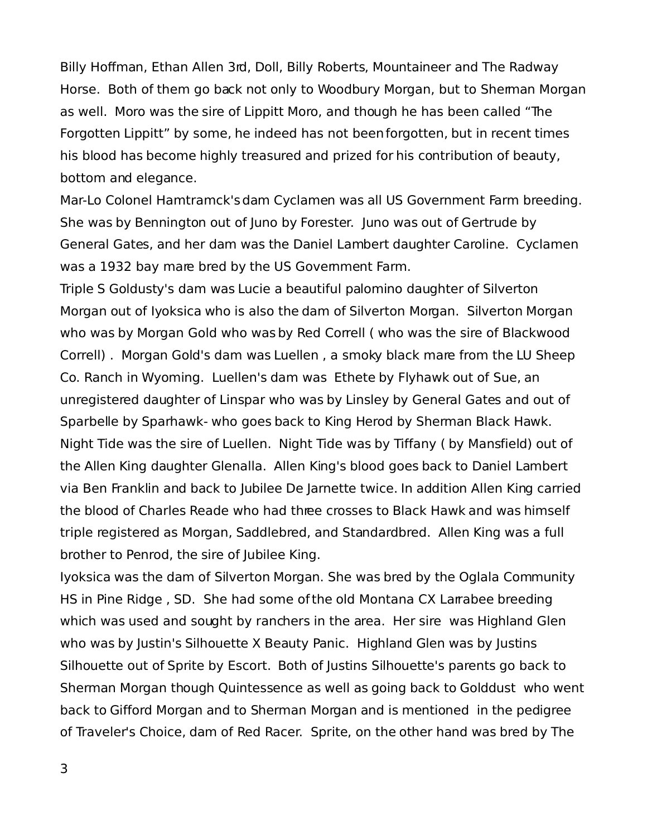Billy Hoffman, Ethan Allen 3rd, Doll, Billy Roberts, Mountaineer and The Radway Horse. Both of them go back not only to Woodbury Morgan, but to Sherman Morgan as well. Moro was the sire of Lippitt Moro, and though he has been called "The Forgotten Lippitt" by some, he indeed has not been forgotten, but in recent times his blood has become highly treasured and prized for his contribution of beauty, bottom and elegance.

Mar-Lo Colonel Hamtramck's dam Cyclamen was all US Government Farm breeding. She was by Bennington out of Juno by Forester. Juno was out of Gertrude by General Gates, and her dam was the Daniel Lambert daughter Caroline. Cyclamen was a 1932 bay mare bred by the US Govemment Farm.

Triple S Goldusty's dam was Lucie a beautiful palomino daughter of Silverton Morgan out of Iyoksica who is also the dam of Silverton Morgan. Silverton Morgan who was by Morgan Gold who was by Red Correll ( who was the sire of Blackwood Correll) . Morgan Gold's dam was Luellen , a smoky black mare from the LU Sheep Co. Ranch in Wyoming. Luellen's dam was Ethete by Flyhawk out of Sue, an unregistered daughter of Linspar who was by Linsley by General Gates and out of Sparbelle by Sparhawk- who goes back to King Herod by Sherman Black Hawk. Night Tide was the sire of Luellen. Night Tide was by Tiffany ( by Mansfield) out of the Allen King daughter Glenalla. Allen King's blood goes back to Daniel Lambert via Ben Franklin and back to Jubilee De Jarnette twice. In addition Allen King carried the blood of Charles Reade who had three crosses to Black Hawk and was himself triple registered as Morgan, Saddlebred, and Standardbred. Allen King was a full brother to Penrod, the sire of Jubilee King.

Iyoksica was the dam of Silverton Morgan. She was bred by the Oglala Community HS in Pine Ridge, SD. She had some of the old Montana CX Larrabee breeding which was used and sought by ranchers in the area. Her sire was Highland Glen who was by Justin's Silhouette X Beauty Panic. Highland Glen was by Justins Silhouette out of Sprite by Escort. Both of Justins Silhouette's parents go back to Sherman Morgan though Quintessence as well as going back to Golddust who went back to Gifford Morgan and to Sherman Morgan and is mentioned in the pedigree of Traveler's Choice, dam of Red Racer. Sprite, on the other hand was bred by The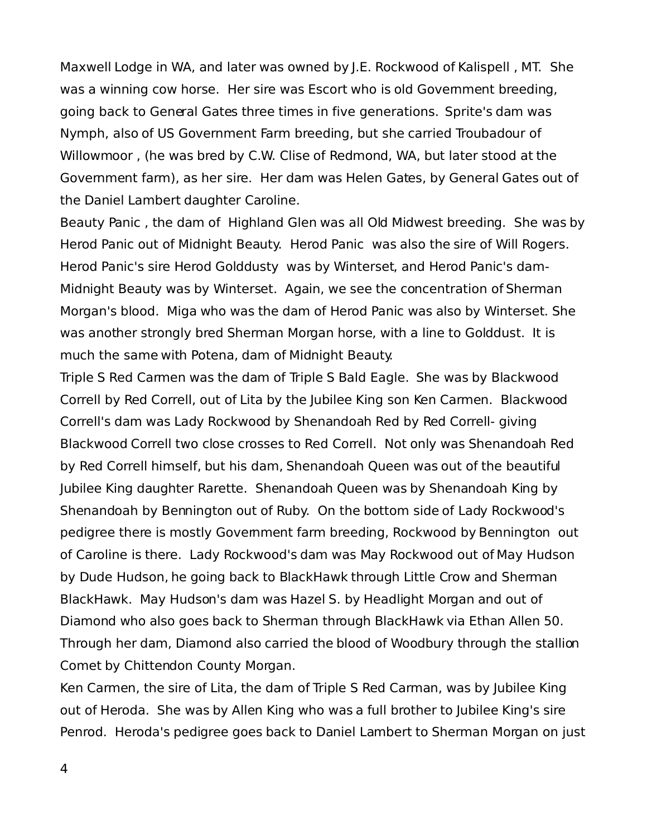Maxwell Lodge in WA, and later was owned by J.E. Rockwood of Kalispell , MT. She was a winning cow horse. Her sire was Escort who is old Govemment breeding, going back to General Gates three times in five generations. Sprite's dam was Nymph, also of US Government Farm breeding, but she carried Troubadour of Willowmoor , (he was bred by C.W. Clise of Redmond, WA, but later stood at the Government farm), as her sire. Her dam was Helen Gates, by General Gates out of the Daniel Lambert daughter Caroline.

Beauty Panic , the dam of Highland Glen was all Old Midwest breeding. She was by Herod Panic out of Midnight Beauty. Herod Panic was also the sire of Will Rogers. Herod Panic's sire Herod Golddusty was by Winterset, and Herod Panic's dam-Midnight Beauty was by Winterset. Again, we see the concentration of Sherman Morgan's blood. Miga who was the dam of Herod Panic was also by Winterset. She was another strongly bred Sherman Morgan horse, with a line to Golddust. It is much the same with Potena, dam of Midnight Beauty.

Triple S Red Carmen was the dam of Triple S Bald Eagle. She was by Blackwood Correll by Red Correll, out of Lita by the Jubilee King son Ken Carmen. Blackwood Correll's dam was Lady Rockwood by Shenandoah Red by Red Correll- giving Blackwood Correll two close crosses to Red Correll. Not only was Shenandoah Red by Red Correll himself, but his dam, Shenandoah Queen was out of the beautiful Jubilee King daughter Rarette. Shenandoah Queen was by Shenandoah King by Shenandoah by Bennington out of Ruby. On the bottom side of Lady Rockwood's pedigree there is mostly Government farm breeding, Rockwood by Bennington out of Caroline is there. Lady Rockwood's dam was May Rockwood out of May Hudson by Dude Hudson, he going back to BlackHawk through Little Crow and Sherman BlackHawk. May Hudson's dam was Hazel S. by Headlight Morgan and out of Diamond who also goes back to Sherman through BlackHawk via Ethan Allen 50. Through her dam, Diamond also carried the blood of Woodbury through the stallion Comet by Chittendon County Morgan.

Ken Carmen, the sire of Lita, the dam of Triple S Red Carman, was by Jubilee King out of Heroda. She was by Allen King who was a full brother to Jubilee King's sire Penrod. Heroda's pedigree goes back to Daniel Lambert to Sherman Morgan on just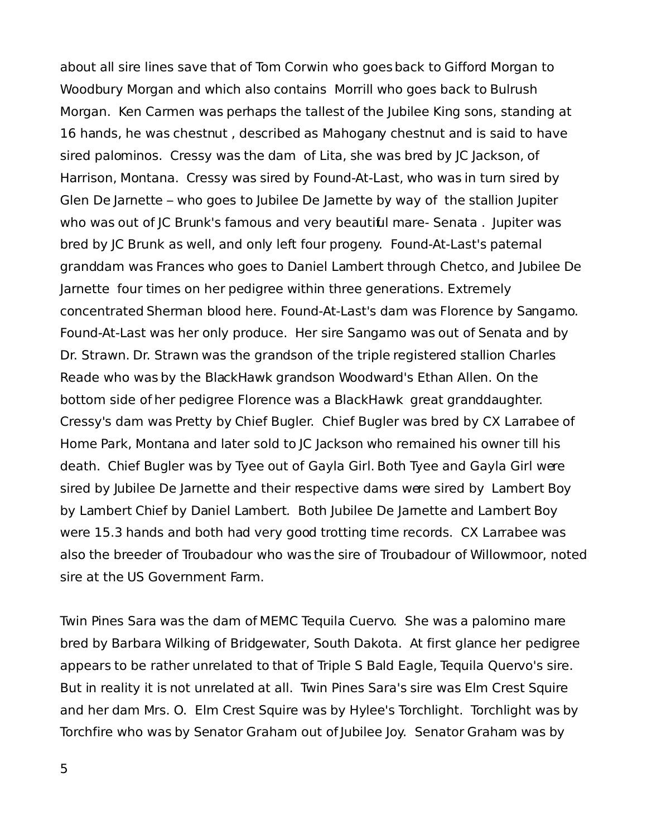about all sire lines save that of Tom Corwin who goes back to Gifford Morgan to Woodbury Morgan and which also contains Morrill who goes back to Bulrush Morgan. Ken Carmen was perhaps the tallest of the Jubilee King sons, standing at 16 hands, he was chestnut , described as Mahogany chestnut and is said to have sired palominos. Cressy was the dam of Lita, she was bred by JC Jackson, of Harrison, Montana. Cressy was sired by Found-At-Last, who was in turn sired by Glen De Jarnette – who goes to Jubilee De Jarnette by way of the stallion Jupiter who was out of JC Brunk's famous and very beautiful mare- Senata . Jupiter was bred by JC Brunk as well, and only left four progeny. Found-At-Last's paternal granddam was Frances who goes to Daniel Lambert through Chetco, and Jubilee De Jarnette four times on her pedigree within three generations. Extremely concentrated Sherman blood here. Found-At-Last's dam was Florence by Sangamo. Found-At-Last was her only produce. Her sire Sangamo was out of Senata and by Dr. Strawn. Dr. Strawn was the grandson of the triple registered stallion Charles Reade who was by the BlackHawk grandson Woodward's Ethan Allen. On the bottom side of her pedigree Florence was a BlackHawk great granddaughter. Cressy's dam was Pretty by Chief Bugler. Chief Bugler was bred by CX Larrabee of Home Park, Montana and later sold to JC Jackson who remained his owner till his death. Chief Bugler was by Tyee out of Gayla Girl. Both Tyee and Gayla Girl were sired by Jubilee De Jarnette and their respective dams were sired by Lambert Boy by Lambert Chief by Daniel Lambert. Both Jubilee De Jarnette and Lambert Boy were 15.3 hands and both had very good trotting time records. CX Larrabee was also the breeder of Troubadour who was the sire of Troubadour of Willowmoor, noted sire at the US Government Farm.

Twin Pines Sara was the dam of MEMC Tequila Cuervo. She was a palomino mare bred by Barbara Wilking of Bridgewater, South Dakota. At first glance her pedigree appears to be rather unrelated to that of Triple S Bald Eagle, Tequila Quervo's sire. But in reality it is not unrelated at all. Twin Pines Sara's sire was Elm Crest Squire and her dam Mrs. O. Elm Crest Squire was by Hylee's Torchlight. Torchlight was by Torchfire who was by Senator Graham out of Jubilee Joy. Senator Graham was by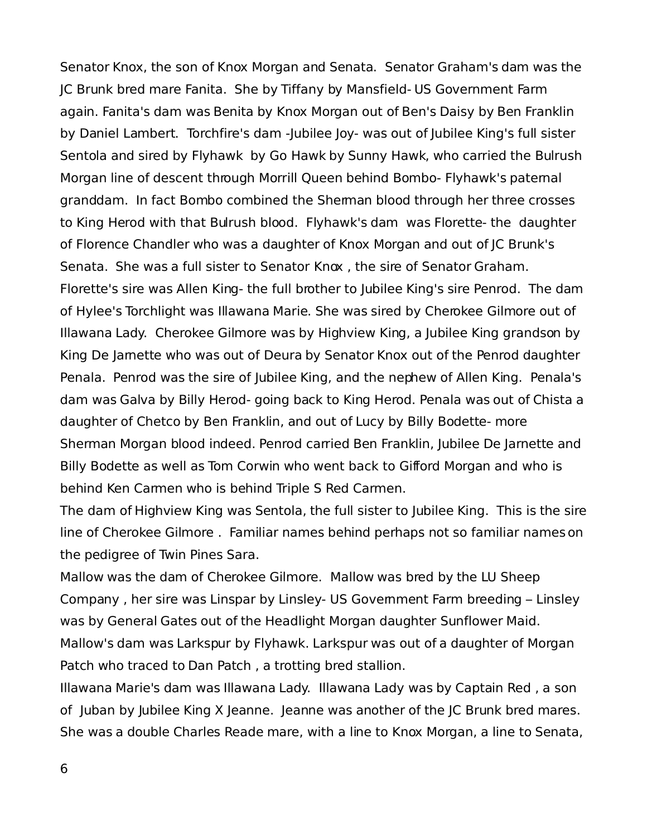Senator Knox, the son of Knox Morgan and Senata. Senator Graham's dam was the JC Brunk bred mare Fanita. She by Tiffany by Mansfield- US Government Farm again. Fanita's dam was Benita by Knox Morgan out of Ben's Daisy by Ben Franklin by Daniel Lambert. Torchfire's dam -Jubilee Joy- was out of Jubilee King's full sister Sentola and sired by Flyhawk by Go Hawk by Sunny Hawk, who carried the Bulrush Morgan line of descent through Morrill Queen behind Bombo- Flyhawk's paternal granddam. In fact Bombo combined the Sherman blood through her three crosses to King Herod with that Bulrush blood. Flyhawk's dam was Florette- the daughter of Florence Chandler who was a daughter of Knox Morgan and out of JC Brunk's Senata. She was a full sister to Senator Knox , the sire of Senator Graham. Florette's sire was Allen King- the full brother to Jubilee King's sire Penrod. The dam of Hylee's Torchlight was Illawana Marie. She was sired by Cherokee Gilmore out of Illawana Lady. Cherokee Gilmore was by Highview King, a Jubilee King grandson by King De Jarnette who was out of Deura by Senator Knox out of the Penrod daughter Penala. Penrod was the sire of Jubilee King, and the nephew of Allen King. Penala's dam was Galva by Billy Herod- going back to King Herod. Penala was out of Chista a daughter of Chetco by Ben Franklin, and out of Lucy by Billy Bodette- more Sherman Morgan blood indeed. Penrod carried Ben Franklin, Jubilee De Jarnette and Billy Bodette as well as Tom Corwin who went back to Gifford Morgan and who is behind Ken Carmen who is behind Triple S Red Carmen.

The dam of Highview King was Sentola, the full sister to Jubilee King. This is the sire line of Cherokee Gilmore . Familiar names behind perhaps not so familiar names on the pedigree of Twin Pines Sara.

Mallow was the dam of Cherokee Gilmore. Mallow was bred by the LU Sheep Company , her sire was Linspar by Linsley- US Government Farm breeding – Linsley was by General Gates out of the Headlight Morgan daughter Sunflower Maid. Mallow's dam was Larkspur by Flyhawk. Larkspur was out of a daughter of Morgan Patch who traced to Dan Patch , a trotting bred stallion.

Illawana Marie's dam was Illawana Lady. Illawana Lady was by Captain Red , a son of Juban by Jubilee King X Jeanne. Jeanne was another of the JC Brunk bred mares. She was a double Charles Reade mare, with a line to Knox Morgan, a line to Senata,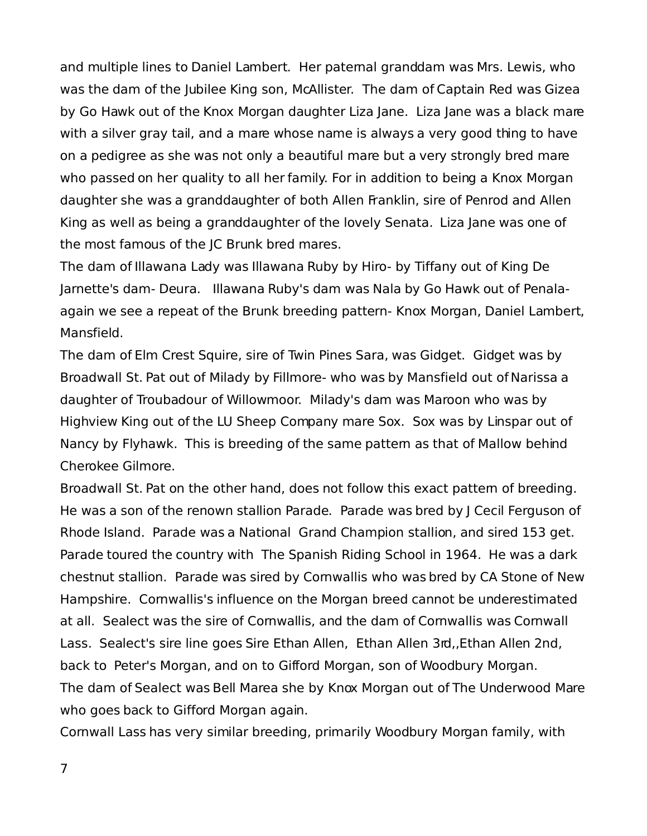and multiple lines to Daniel Lambert. Her paternal granddam was Mrs. Lewis, who was the dam of the Jubilee King son, McAllister. The dam of Captain Red was Gizea by Go Hawk out of the Knox Morgan daughter Liza Jane. Liza Jane was a black mare with a silver gray tail, and a mare whose name is always a very good thing to have on a pedigree as she was not only a beautiful mare but a very strongly bred mare who passed on her quality to all her family. For in addition to being a Knox Morgan daughter she was a granddaughter of both Allen Franklin, sire of Penrod and Allen King as well as being a granddaughter of the lovely Senata. Liza Jane was one of the most famous of the JC Brunk bred mares.

The dam of Illawana Lady was Illawana Ruby by Hiro- by Tiffany out of King De Jarnette's dam- Deura. Illawana Ruby's dam was Nala by Go Hawk out of Penalaagain we see a repeat of the Brunk breeding pattern- Knox Morgan, Daniel Lambert, Mansfield.

The dam of Elm Crest Squire, sire of Twin Pines Sara, was Gidget. Gidget was by Broadwall St. Pat out of Milady by Fillmore- who was by Mansfield out of Narissa a daughter of Troubadour of Willowmoor. Milady's dam was Maroon who was by Highview King out of the LU Sheep Company mare Sox. Sox was by Linspar out of Nancy by Flyhawk. This is breeding of the same pattern as that of Mallow behind Cherokee Gilmore.

Broadwall St. Pat on the other hand, does not follow this exact pattem of breeding. He was a son of the renown stallion Parade. Parade was bred by J Cecil Ferguson of Rhode Island. Parade was a National Grand Champion stallion, and sired 153 get. Parade toured the country with The Spanish Riding School in 1964. He was a dark chestnut stallion. Parade was sired by Cornwallis who was bred by CA Stone of New Hampshire. Cornwallis's influence on the Morgan breed cannot be underestimated at all. Sealect was the sire of Cornwallis, and the dam of Cornwallis was Cornwall Lass. Sealect's sire line goes Sire Ethan Allen, Ethan Allen 3rd,,Ethan Allen 2nd, back to Peter's Morgan, and on to Gifford Morgan, son of Woodbury Morgan. The dam of Sealect was Bell Marea she by Knox Morgan out of The Underwood Mare who goes back to Gifford Morgan again.

Cornwall Lass has very similar breeding, primarily Woodbury Morgan family, with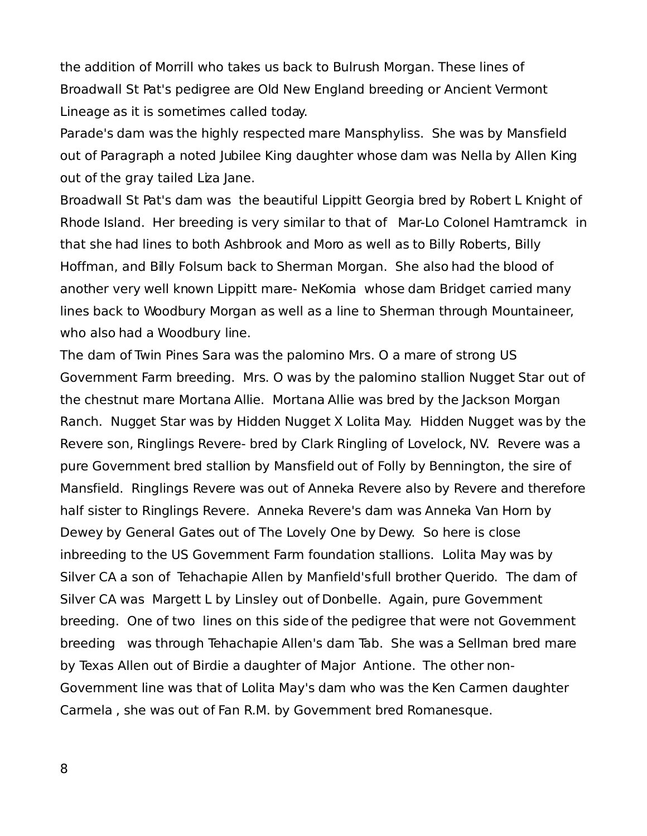the addition of Morrill who takes us back to Bulrush Morgan. These lines of Broadwall St Pat's pedigree are Old New England breeding or Ancient Vermont Lineage as it is sometimes called today.

Parade's dam was the highly respected mare Mansphyliss. She was by Mansfield out of Paragraph a noted Jubilee King daughter whose dam was Nella by Allen King out of the gray tailed Liza Jane.

Broadwall St Pat's dam was the beautiful Lippitt Georgia bred by Robert L Knight of Rhode Island. Her breeding is very similar to that of Mar-Lo Colonel Hamtramck in that she had lines to both Ashbrook and Moro as well as to Billy Roberts, Billy Hoffman, and Billy Folsum back to Sherman Morgan. She also had the blood of another very well known Lippitt mare- NeKomia whose dam Bridget carried many lines back to Woodbury Morgan as well as a line to Sherman through Mountaineer, who also had a Woodbury line.

The dam of Twin Pines Sara was the palomino Mrs. O a mare of strong US Government Farm breeding. Mrs. O was by the palomino stallion Nugget Star out of the chestnut mare Mortana Allie. Mortana Allie was bred by the Jackson Morgan Ranch. Nugget Star was by Hidden Nugget X Lolita May. Hidden Nugget was by the Revere son, Ringlings Revere- bred by Clark Ringling of Lovelock, NV. Revere was a pure Government bred stallion by Mansfield out of Folly by Bennington, the sire of Mansfield. Ringlings Revere was out of Anneka Revere also by Revere and therefore half sister to Ringlings Revere. Anneka Revere's dam was Anneka Van Horn by Dewey by General Gates out of The Lovely One by Dewy. So here is close inbreeding to the US Government Farm foundation stallions. Lolita May was by Silver CA a son of Tehachapie Allen by Manfield's full brother Querido. The dam of Silver CA was Margett L by Linsley out of Donbelle. Again, pure Govemment breeding. One of two lines on this side of the pedigree that were not Govemment breeding was through Tehachapie Allen's dam Tab. She was a Sellman bred mare by Texas Allen out of Birdie a daughter of Major Antione. The other non-Government line was that of Lolita May's dam who was the Ken Carmen daughter Carmela , she was out of Fan R.M. by Government bred Romanesque.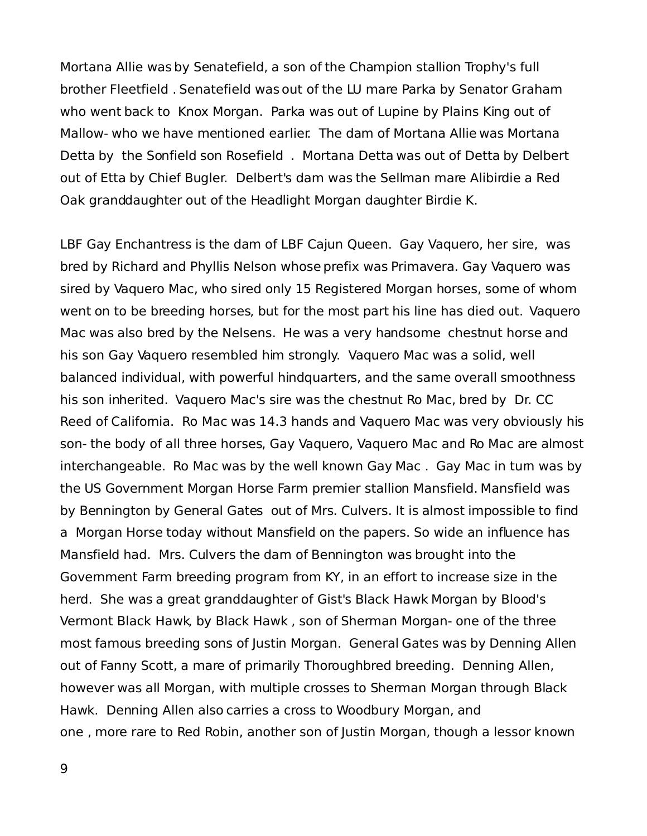Mortana Allie was by Senatefield, a son of the Champion stallion Trophy's full brother Fleetfield . Senatefield was out of the LU mare Parka by Senator Graham who went back to Knox Morgan. Parka was out of Lupine by Plains King out of Mallow- who we have mentioned earlier. The dam of Mortana Allie was Mortana Detta by the Sonfield son Rosefield . Mortana Detta was out of Detta by Delbert out of Etta by Chief Bugler. Delbert's dam was the Sellman mare Alibirdie a Red Oak granddaughter out of the Headlight Morgan daughter Birdie K.

LBF Gay Enchantress is the dam of LBF Cajun Queen. Gay Vaquero, her sire, was bred by Richard and Phyllis Nelson whose prefix was Primavera. Gay Vaquero was sired by Vaquero Mac, who sired only 15 Registered Morgan horses, some of whom went on to be breeding horses, but for the most part his line has died out. Vaquero Mac was also bred by the Nelsens. He was a very handsome chestnut horse and his son Gay Vaquero resembled him strongly. Vaquero Mac was a solid, well balanced individual, with powerful hindquarters, and the same overall smoothness his son inherited. Vaquero Mac's sire was the chestnut Ro Mac, bred by Dr. CC Reed of California. Ro Mac was 14.3 hands and Vaquero Mac was very obviously his son- the body of all three horses, Gay Vaquero, Vaquero Mac and Ro Mac are almost interchangeable. Ro Mac was by the well known Gay Mac. Gay Mac in tum was by the US Government Morgan Horse Farm premier stallion Mansfield. Mansfield was by Bennington by General Gates out of Mrs. Culvers. It is almost impossible to find a Morgan Horse today without Mansfield on the papers. So wide an influence has Mansfield had. Mrs. Culvers the dam of Bennington was brought into the Government Farm breeding program from KY, in an effort to increase size in the herd. She was a great granddaughter of Gist's Black Hawk Morgan by Blood's Vermont Black Hawk, by Black Hawk , son of Sherman Morgan- one of the three most famous breeding sons of Justin Morgan. General Gates was by Denning Allen out of Fanny Scott, a mare of primarily Thoroughbred breeding. Denning Allen, however was all Morgan, with multiple crosses to Sherman Morgan through Black Hawk. Denning Allen also carries a cross to Woodbury Morgan, and one , more rare to Red Robin, another son of Justin Morgan, though a lessor known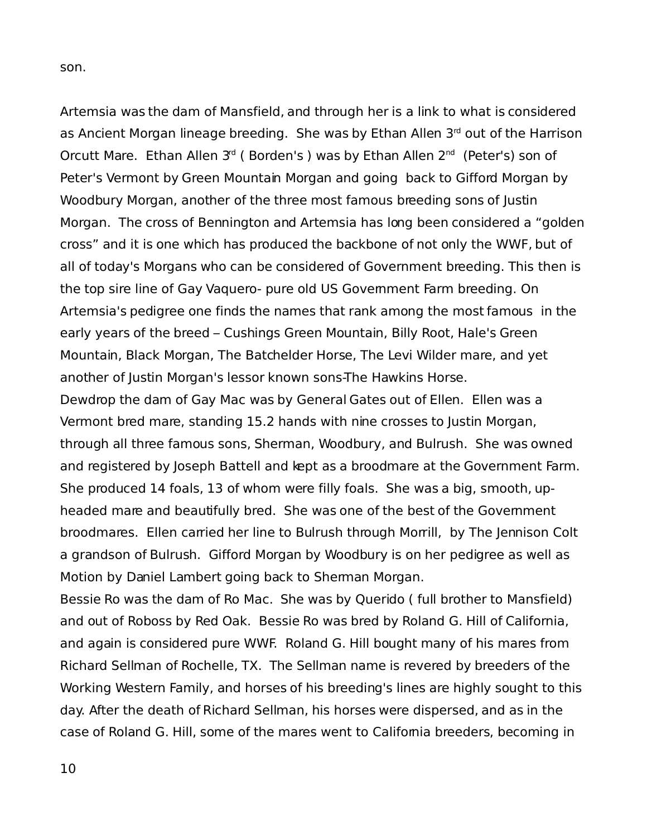son.

Artemsia was the dam of Mansfield, and through her is a link to what is considered as Ancient Morgan lineage breeding. She was by Ethan Allen 3<sup>rd</sup> out of the Harrison Orcutt Mare. Ethan Allen 3<sup>rd</sup> (Borden's) was by Ethan Allen 2<sup>nd</sup> (Peter's) son of Peter's Vermont by Green Mountain Morgan and going back to Gifford Morgan by Woodbury Morgan, another of the three most famous breeding sons of Justin Morgan. The cross of Bennington and Artemsia has long been considered a "golden cross" and it is one which has produced the backbone of not only the WWF, but of all of today's Morgans who can be considered of Government breeding. This then is the top sire line of Gay Vaquero- pure old US Government Farm breeding. On Artemsia's pedigree one finds the names that rank among the most famous in the early years of the breed – Cushings Green Mountain, Billy Root, Hale's Green Mountain, Black Morgan, The Batchelder Horse, The Levi Wilder mare, and yet another of Justin Morgan's lessor known sons-The Hawkins Horse.

Dewdrop the dam of Gay Mac was by General Gates out of Ellen. Ellen was a Vermont bred mare, standing 15.2 hands with nine crosses to Justin Morgan, through all three famous sons, Sherman, Woodbury, and Bulrush. She was owned and registered by Joseph Battell and kept as a broodmare at the Government Farm. She produced 14 foals, 13 of whom were filly foals. She was a big, smooth, upheaded mare and beautifully bred. She was one of the best of the Government broodmares. Ellen carried her line to Bulrush through Morrill, by The Jennison Colt a grandson of Bulrush. Gifford Morgan by Woodbury is on her pedigree as well as Motion by Daniel Lambert going back to Sherman Morgan.

Bessie Ro was the dam of Ro Mac. She was by Querido ( full brother to Mansfield) and out of Roboss by Red Oak. Bessie Ro was bred by Roland G. Hill of California, and again is considered pure WWF. Roland G. Hill bought many of his mares from Richard Sellman of Rochelle, TX. The Sellman name is revered by breeders of the Working Western Family, and horses of his breeding's lines are highly sought to this day. After the death of Richard Sellman, his horses were dispersed, and as in the case of Roland G. Hill, some of the mares went to California breeders, becoming in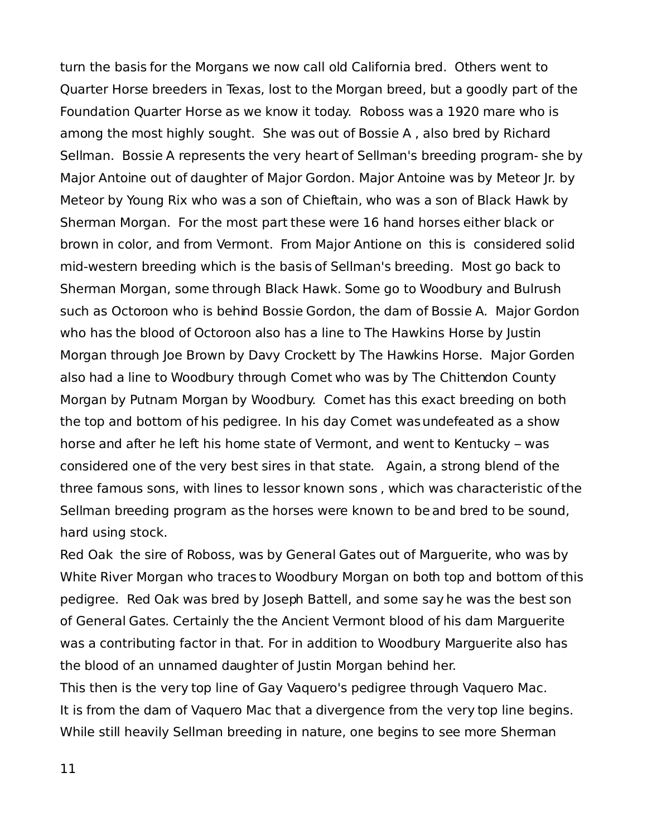turn the basis for the Morgans we now call old California bred. Others went to Quarter Horse breeders in Texas, lost to the Morgan breed, but a goodly part of the Foundation Quarter Horse as we know it today. Roboss was a 1920 mare who is among the most highly sought. She was out of Bossie A , also bred by Richard Sellman. Bossie A represents the very heart of Sellman's breeding program- she by Major Antoine out of daughter of Major Gordon. Major Antoine was by Meteor Jr. by Meteor by Young Rix who was a son of Chieftain, who was a son of Black Hawk by Sherman Morgan. For the most part these were 16 hand horses either black or brown in color, and from Vermont. From Major Antione on this is considered solid mid-western breeding which is the basis of Sellman's breeding. Most go back to Sherman Morgan, some through Black Hawk. Some go to Woodbury and Bulrush such as Octoroon who is behind Bossie Gordon, the dam of Bossie A. Major Gordon who has the blood of Octoroon also has a line to The Hawkins Horse by Justin Morgan through Joe Brown by Davy Crockett by The Hawkins Horse. Major Gorden also had a line to Woodbury through Comet who was by The Chittendon County Morgan by Putnam Morgan by Woodbury. Comet has this exact breeding on both the top and bottom of his pedigree. In his day Comet was undefeated as a show horse and after he left his home state of Vermont, and went to Kentucky – was considered one of the very best sires in that state. Again, a strong blend of the three famous sons, with lines to lessor known sons , which was characteristic of the Sellman breeding program as the horses were known to be and bred to be sound, hard using stock.

Red Oak the sire of Roboss, was by General Gates out of Marguerite, who was by White River Morgan who traces to Woodbury Morgan on both top and bottom of this pedigree. Red Oak was bred by Joseph Battell, and some say he was the best son of General Gates. Certainly the the Ancient Vermont blood of his dam Marguerite was a contributing factor in that. For in addition to Woodbury Marguerite also has the blood of an unnamed daughter of Justin Morgan behind her.

This then is the very top line of Gay Vaquero's pedigree through Vaquero Mac. It is from the dam of Vaquero Mac that a divergence from the very top line begins. While still heavily Sellman breeding in nature, one begins to see more Sherman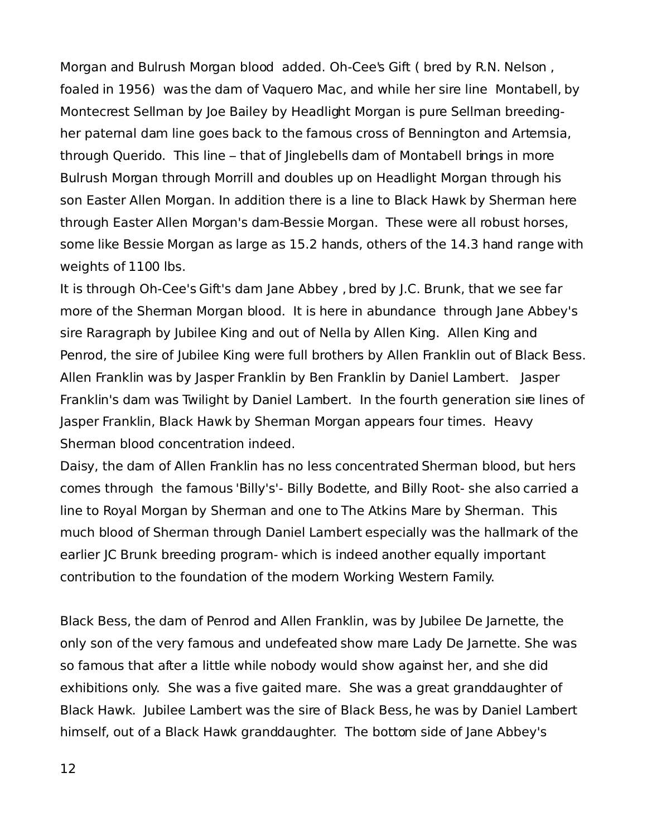Morgan and Bulrush Morgan blood added. Oh-Cee's Gift ( bred by R.N. Nelson , foaled in 1956) was the dam of Vaquero Mac, and while her sire line Montabell, by Montecrest Sellman by Joe Bailey by Headlight Morgan is pure Sellman breedingher paternal dam line goes back to the famous cross of Bennington and Artemsia, through Querido. This line – that of Jinglebells dam of Montabell brings in more Bulrush Morgan through Morrill and doubles up on Headlight Morgan through his son Easter Allen Morgan. In addition there is a line to Black Hawk by Sherman here through Easter Allen Morgan's dam-Bessie Morgan. These were all robust horses, some like Bessie Morgan as large as 15.2 hands, others of the 14.3 hand range with weights of 1100 lbs.

It is through Oh-Cee's Gift's dam Jane Abbey , bred by J.C. Brunk, that we see far more of the Sherman Morgan blood. It is here in abundance through Jane Abbey's sire Raragraph by Jubilee King and out of Nella by Allen King. Allen King and Penrod, the sire of Jubilee King were full brothers by Allen Franklin out of Black Bess. Allen Franklin was by Jasper Franklin by Ben Franklin by Daniel Lambert. Jasper Franklin's dam was Twilight by Daniel Lambert. In the fourth generation sire lines of Jasper Franklin, Black Hawk by Sherman Morgan appears four times. Heavy Sherman blood concentration indeed.

Daisy, the dam of Allen Franklin has no less concentrated Sherman blood, but hers comes through the famous 'Billy's'- Billy Bodette, and Billy Root- she also carried a line to Royal Morgan by Sherman and one to The Atkins Mare by Sherman. This much blood of Sherman through Daniel Lambert especially was the hallmark of the earlier JC Brunk breeding program- which is indeed another equally important contribution to the foundation of the modern Working Western Family.

Black Bess, the dam of Penrod and Allen Franklin, was by Jubilee De Jarnette, the only son of the very famous and undefeated show mare Lady De Jarnette. She was so famous that after a little while nobody would show against her, and she did exhibitions only. She was a five gaited mare. She was a great granddaughter of Black Hawk. Jubilee Lambert was the sire of Black Bess, he was by Daniel Lambert himself, out of a Black Hawk granddaughter. The bottom side of Jane Abbey's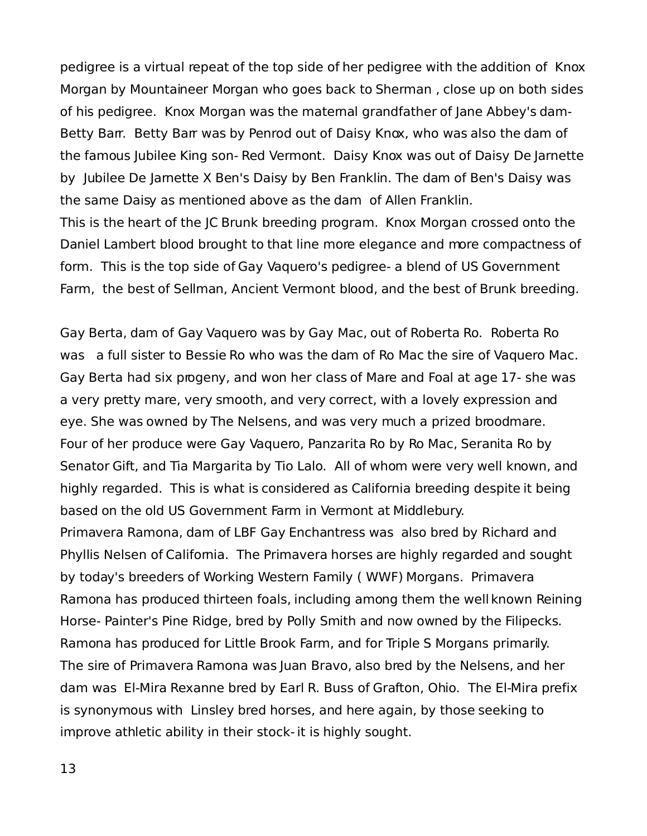pedigree is a virtual repeat of the top side of her pedigree with the addition of Knox Morgan by Mountaineer Morgan who goes back to Sherman , close up on both sides of his pedigree. Knox Morgan was the maternal grandfather of Jane Abbey's dam-Betty Barr. Betty Barr was by Penrod out of Daisy Knox, who was also the dam of the famous Jubilee King son- Red Vermont. Daisy Knox was out of Daisy De Jarnette by Jubilee De Jarnette X Ben's Daisy by Ben Franklin. The dam of Ben's Daisy was the same Daisy as mentioned above as the dam of Allen Franklin. This is the heart of the JC Brunk breeding program. Knox Morgan crossed onto the Daniel Lambert blood brought to that line more elegance and more compactness of form. This is the top side of Gay Vaquero's pedigree- a blend of US Government

Farm, the best of Sellman, Ancient Vermont blood, and the best of Brunk breeding.

Gay Berta, dam of Gay Vaquero was by Gay Mac, out of Roberta Ro. Roberta Ro was a full sister to Bessie Ro who was the dam of Ro Mac the sire of Vaquero Mac. Gay Berta had six progeny, and won her class of Mare and Foal at age 17- she was a very pretty mare, very smooth, and very correct, with a lovely expression and eye. She was owned by The Nelsens, and was very much a prized broodmare. Four of her produce were Gay Vaquero, Panzarita Ro by Ro Mac, Seranita Ro by Senator Gift, and Tia Margarita by Tio Lalo. All of whom were very well known, and highly regarded. This is what is considered as California breeding despite it being based on the old US Government Farm in Vermont at Middlebury. Primavera Ramona, dam of LBF Gay Enchantress was also bred by Richard and Phyllis Nelsen of California. The Primavera horses are highly regarded and sought by today's breeders of Working Western Family ( WWF) Morgans. Primavera Ramona has produced thirteen foals, including among them the well known Reining Horse- Painter's Pine Ridge, bred by Polly Smith and now owned by the Filipecks. Ramona has produced for Little Brook Farm, and for Triple S Morgans primarily. The sire of Primavera Ramona was Juan Bravo, also bred by the Nelsens, and her dam was El-Mira Rexanne bred by Earl R. Buss of Grafton, Ohio. The El-Mira prefix is synonymous with Linsley bred horses, and here again, by those seeking to improve athletic ability in their stock- it is highly sought.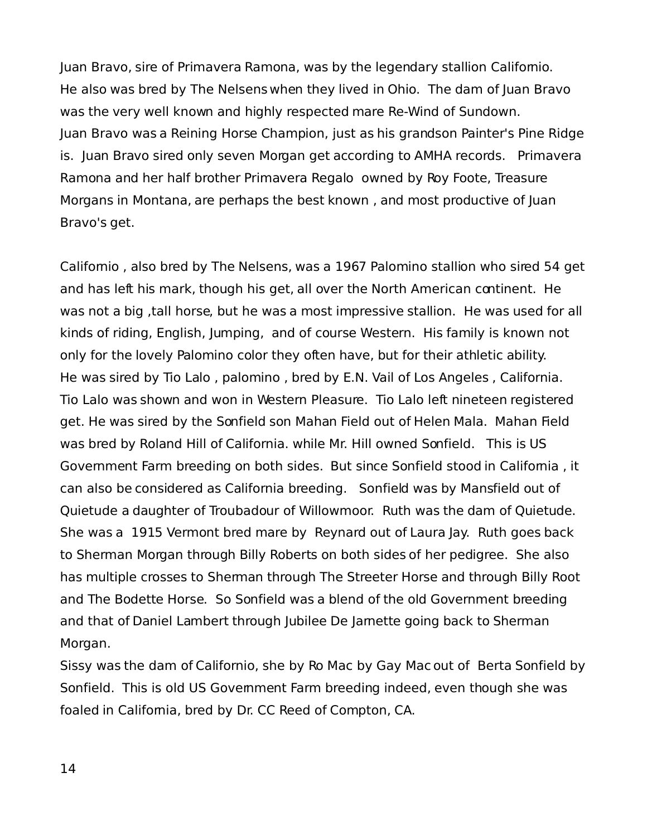Juan Bravo, sire of Primavera Ramona, was by the legendary stallion Californio. He also was bred by The Nelsens when they lived in Ohio. The dam of Juan Bravo was the very well known and highly respected mare Re-Wind of Sundown. Juan Bravo was a Reining Horse Champion, just as his grandson Painter's Pine Ridge is. Juan Bravo sired only seven Morgan get according to AMHA records. Primavera Ramona and her half brother Primavera Regalo owned by Roy Foote, Treasure Morgans in Montana, are perhaps the best known , and most productive of Juan Bravo's get.

Californio , also bred by The Nelsens, was a 1967 Palomino stallion who sired 54 get and has left his mark, though his get, all over the North American continent. He was not a big ,tall horse, but he was a most impressive stallion. He was used for all kinds of riding, English, Jumping, and of course Western. His family is known not only for the lovely Palomino color they often have, but for their athletic ability. He was sired by Tio Lalo , palomino , bred by E.N. Vail of Los Angeles , California. Tio Lalo was shown and won in Western Pleasure. Tio Lalo left nineteen registered get. He was sired by the Sonfield son Mahan Field out of Helen Mala. Mahan Field was bred by Roland Hill of California. while Mr. Hill owned Sonfield. This is US Government Farm breeding on both sides. But since Sonfield stood in California , it can also be considered as California breeding. Sonfield was by Mansfield out of Quietude a daughter of Troubadour of Willowmoor. Ruth was the dam of Quietude. She was a 1915 Vermont bred mare by Reynard out of Laura Jay. Ruth goes back to Sherman Morgan through Billy Roberts on both sides of her pedigree. She also has multiple crosses to Sherman through The Streeter Horse and through Billy Root and The Bodette Horse. So Sonfield was a blend of the old Government breeding and that of Daniel Lambert through Jubilee De Jarnette going back to Sherman Morgan.

Sissy was the dam of Californio, she by Ro Mac by Gay Mac out of Berta Sonfield by Sonfield. This is old US Government Farm breeding indeed, even though she was foaled in California, bred by Dr. CC Reed of Compton, CA.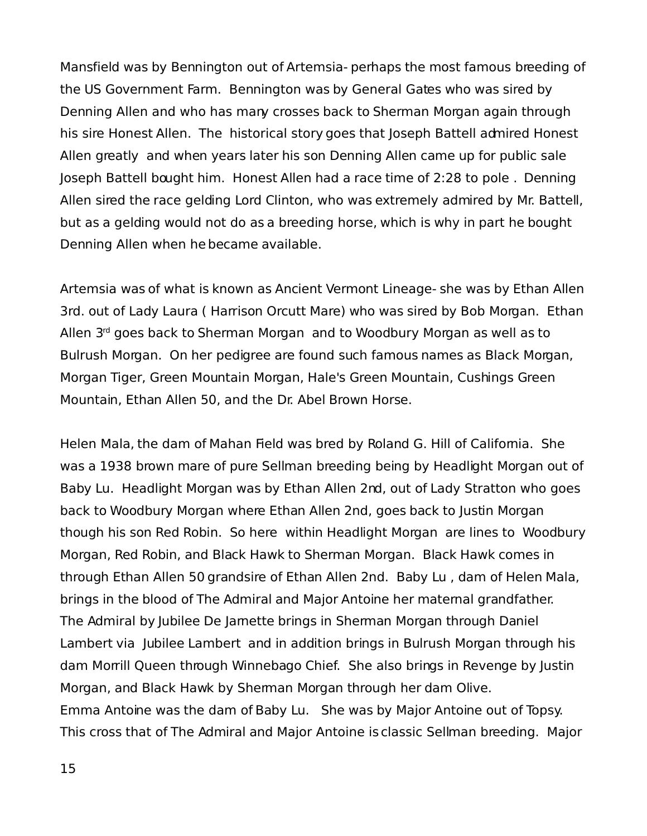Mansfield was by Bennington out of Artemsia- perhaps the most famous breeding of the US Government Farm. Bennington was by General Gates who was sired by Denning Allen and who has many crosses back to Sherman Morgan again through his sire Honest Allen. The historical story goes that Joseph Battell admired Honest Allen greatly and when years later his son Denning Allen came up for public sale Joseph Battell bought him. Honest Allen had a race time of 2:28 to pole . Denning Allen sired the race gelding Lord Clinton, who was extremely admired by Mr. Battell, but as a gelding would not do as a breeding horse, which is why in part he bought Denning Allen when he became available.

Artemsia was of what is known as Ancient Vermont Lineage- she was by Ethan Allen 3rd. out of Lady Laura ( Harrison Orcutt Mare) who was sired by Bob Morgan. Ethan Allen 3<sup>rd</sup> goes back to Sherman Morgan and to Woodbury Morgan as well as to Bulrush Morgan. On her pedigree are found such famous names as Black Morgan, Morgan Tiger, Green Mountain Morgan, Hale's Green Mountain, Cushings Green Mountain, Ethan Allen 50, and the Dr. Abel Brown Horse.

Helen Mala, the dam of Mahan Field was bred by Roland G. Hill of California. She was a 1938 brown mare of pure Sellman breeding being by Headlight Morgan out of Baby Lu. Headlight Morgan was by Ethan Allen 2nd, out of Lady Stratton who goes back to Woodbury Morgan where Ethan Allen 2nd, goes back to Justin Morgan though his son Red Robin. So here within Headlight Morgan are lines to Woodbury Morgan, Red Robin, and Black Hawk to Sherman Morgan. Black Hawk comes in through Ethan Allen 50 grandsire of Ethan Allen 2nd. Baby Lu , dam of Helen Mala, brings in the blood of The Admiral and Major Antoine her maternal grandfather. The Admiral by Jubilee De Jarnette brings in Sherman Morgan through Daniel Lambert via Jubilee Lambert and in addition brings in Bulrush Morgan through his dam Morrill Queen through Winnebago Chief. She also brings in Revenge by Justin Morgan, and Black Hawk by Sherman Morgan through her dam Olive. Emma Antoine was the dam of Baby Lu. She was by Major Antoine out of Topsy. This cross that of The Admiral and Major Antoine is classic Sellman breeding. Major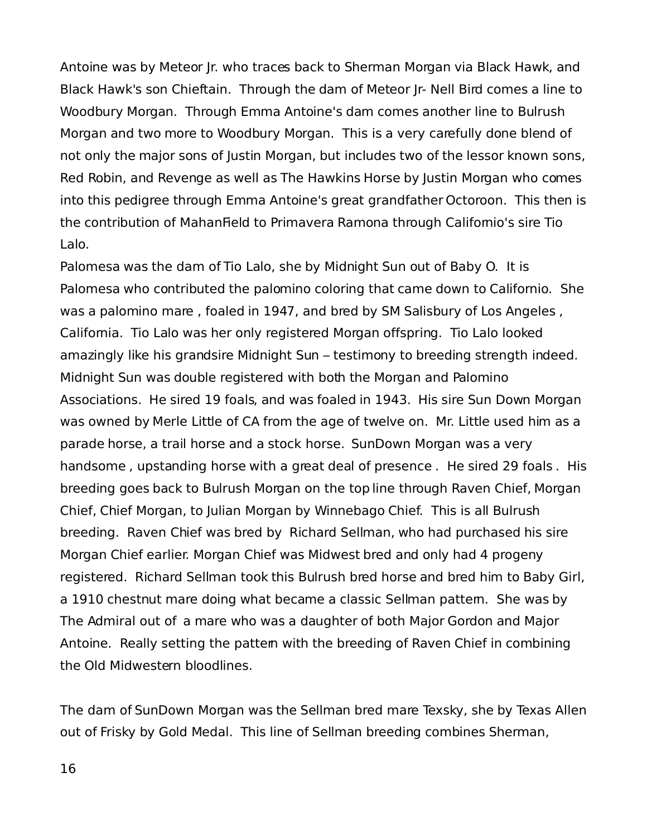Antoine was by Meteor Jr. who traces back to Sherman Morgan via Black Hawk, and Black Hawk's son Chieftain. Through the dam of Meteor Jr- Nell Bird comes a line to Woodbury Morgan. Through Emma Antoine's dam comes another line to Bulrush Morgan and two more to Woodbury Morgan. This is a very carefully done blend of not only the major sons of Justin Morgan, but includes two of the lessor known sons, Red Robin, and Revenge as well as The Hawkins Horse by Justin Morgan who comes into this pedigree through Emma Antoine's great grandfather Octoroon. This then is the contribution of MahanField to Primavera Ramona through Californio's sire Tio Lalo.

Palomesa was the dam of Tio Lalo, she by Midnight Sun out of Baby O. It is Palomesa who contributed the palomino coloring that came down to Californio. She was a palomino mare , foaled in 1947, and bred by SM Salisbury of Los Angeles , California. Tio Lalo was her only registered Morgan offspring. Tio Lalo looked amazingly like his grandsire Midnight Sun – testimony to breeding strength indeed. Midnight Sun was double registered with both the Morgan and Palomino Associations. He sired 19 foals, and was foaled in 1943. His sire Sun Down Morgan was owned by Merle Little of CA from the age of twelve on. Mr. Little used him as a parade horse, a trail horse and a stock horse. SunDown Morgan was a very handsome , upstanding horse with a great deal of presence . He sired 29 foals . His breeding goes back to Bulrush Morgan on the top line through Raven Chief, Morgan Chief, Chief Morgan, to Julian Morgan by Winnebago Chief. This is all Bulrush breeding. Raven Chief was bred by Richard Sellman, who had purchased his sire Morgan Chief earlier. Morgan Chief was Midwest bred and only had 4 progeny registered. Richard Sellman took this Bulrush bred horse and bred him to Baby Girl, a 1910 chestnut mare doing what became a classic Sellman pattem. She was by The Admiral out of a mare who was a daughter of both Major Gordon and Major Antoine. Really setting the pattem with the breeding of Raven Chief in combining the Old Midwestern bloodlines.

The dam of SunDown Morgan was the Sellman bred mare Texsky, she by Texas Allen out of Frisky by Gold Medal. This line of Sellman breeding combines Sherman,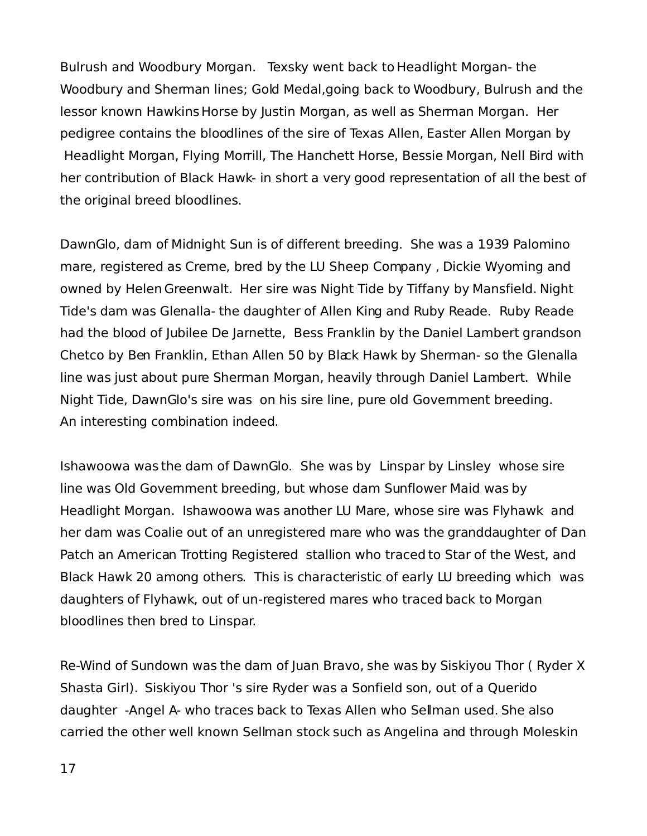Bulrush and Woodbury Morgan. Texsky went back to Headlight Morgan- the Woodbury and Sherman lines; Gold Medal,going back to Woodbury, Bulrush and the lessor known Hawkins Horse by Justin Morgan, as well as Sherman Morgan. Her pedigree contains the bloodlines of the sire of Texas Allen, Easter Allen Morgan by Headlight Morgan, Flying Morrill, The Hanchett Horse, Bessie Morgan, Nell Bird with her contribution of Black Hawk- in short a very good representation of all the best of the original breed bloodlines.

DawnGlo, dam of Midnight Sun is of different breeding. She was a 1939 Palomino mare, registered as Creme, bred by the LU Sheep Company , Dickie Wyoming and owned by Helen Greenwalt. Her sire was Night Tide by Tiffany by Mansfield. Night Tide's dam was Glenalla- the daughter of Allen King and Ruby Reade. Ruby Reade had the blood of Jubilee De Jarnette, Bess Franklin by the Daniel Lambert grandson Chetco by Ben Franklin, Ethan Allen 50 by Black Hawk by Sherman- so the Glenalla line was just about pure Sherman Morgan, heavily through Daniel Lambert. While Night Tide, DawnGlo's sire was on his sire line, pure old Government breeding. An interesting combination indeed.

Ishawoowa was the dam of DawnGlo. She was by Linspar by Linsley whose sire line was Old Government breeding, but whose dam Sunflower Maid was by Headlight Morgan. Ishawoowa was another LU Mare, whose sire was Flyhawk and her dam was Coalie out of an unregistered mare who was the granddaughter of Dan Patch an American Trotting Registered stallion who traced to Star of the West, and Black Hawk 20 among others. This is characteristic of early LU breeding which was daughters of Flyhawk, out of un-registered mares who traced back to Morgan bloodlines then bred to Linspar.

Re-Wind of Sundown was the dam of Juan Bravo, she was by Siskiyou Thor ( Ryder X Shasta Girl). Siskiyou Thor 's sire Ryder was a Sonfield son, out of a Querido daughter -Angel A- who traces back to Texas Allen who Sellman used. She also carried the other well known Sellman stock such as Angelina and through Moleskin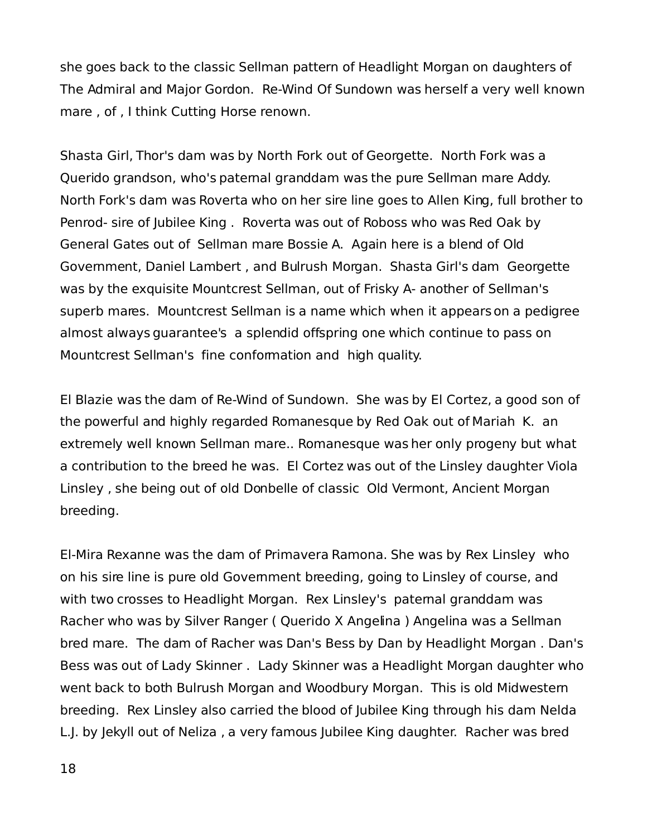she goes back to the classic Sellman pattern of Headlight Morgan on daughters of The Admiral and Major Gordon. Re-Wind Of Sundown was herself a very well known mare , of , I think Cutting Horse renown.

Shasta Girl, Thor's dam was by North Fork out of Georgette. North Fork was a Querido grandson, who's paternal granddam was the pure Sellman mare Addy. North Fork's dam was Roverta who on her sire line goes to Allen King, full brother to Penrod- sire of Jubilee King . Roverta was out of Roboss who was Red Oak by General Gates out of Sellman mare Bossie A. Again here is a blend of Old Government, Daniel Lambert , and Bulrush Morgan. Shasta Girl's dam Georgette was by the exquisite Mountcrest Sellman, out of Frisky A- another of Sellman's superb mares. Mountcrest Sellman is a name which when it appears on a pedigree almost always guarantee's a splendid offspring one which continue to pass on Mountcrest Sellman's fine conformation and high quality.

El Blazie was the dam of Re-Wind of Sundown. She was by El Cortez, a good son of the powerful and highly regarded Romanesque by Red Oak out of Mariah K. an extremely well known Sellman mare.. Romanesque was her only progeny but what a contribution to the breed he was. El Cortez was out of the Linsley daughter Viola Linsley , she being out of old Donbelle of classic Old Vermont, Ancient Morgan breeding.

El-Mira Rexanne was the dam of Primavera Ramona. She was by Rex Linsley who on his sire line is pure old Government breeding, going to Linsley of course, and with two crosses to Headlight Morgan. Rex Linsley's paternal granddam was Racher who was by Silver Ranger ( Querido X Angelina ) Angelina was a Sellman bred mare. The dam of Racher was Dan's Bess by Dan by Headlight Morgan . Dan's Bess was out of Lady Skinner . Lady Skinner was a Headlight Morgan daughter who went back to both Bulrush Morgan and Woodbury Morgan. This is old Midwestern breeding. Rex Linsley also carried the blood of Jubilee King through his dam Nelda L.J. by Jekyll out of Neliza , a very famous Jubilee King daughter. Racher was bred